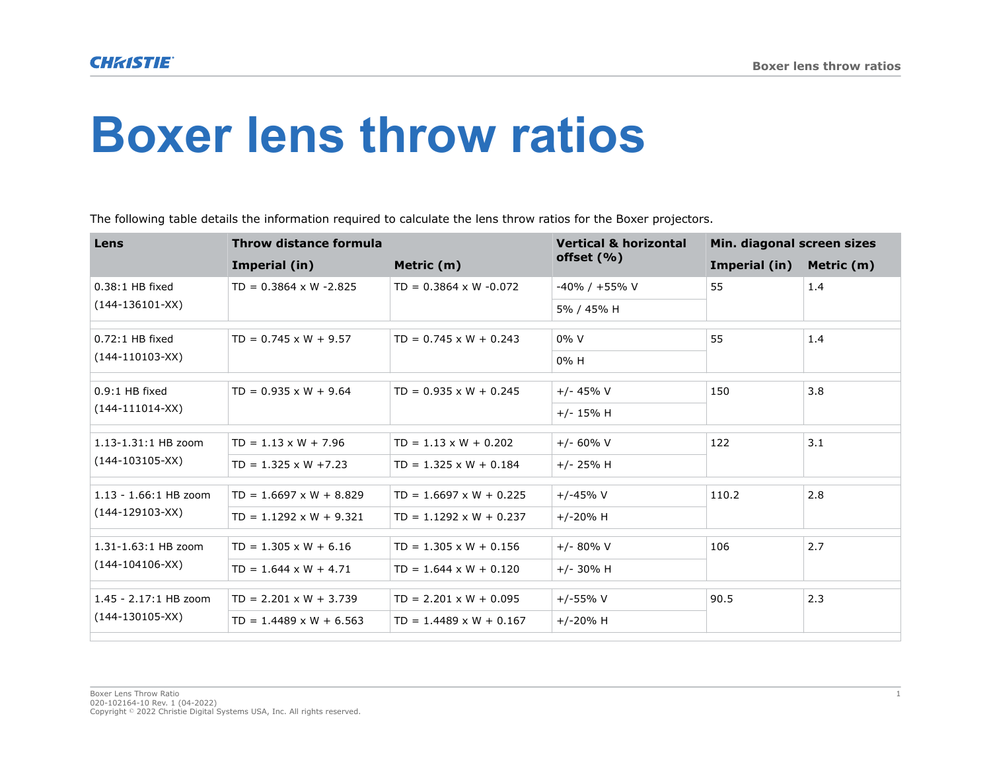## **Boxer lens throw ratios**

The following table details the information required to calculate the lens throw ratios for the Boxer projectors.

| Lens                                         | Throw distance formula         |                                | <b>Vertical &amp; horizontal</b> | Min. diagonal screen sizes |            |
|----------------------------------------------|--------------------------------|--------------------------------|----------------------------------|----------------------------|------------|
|                                              | Imperial (in)                  | Metric (m)                     | offset $(% )$                    | Imperial (in)              | Metric (m) |
| $0.38:1$ HB fixed<br>$(144-136101-XX)$       | $TD = 0.3864 \times W - 2.825$ | $TD = 0.3864 \times W - 0.072$ | -40% / +55% V                    | 55                         | 1.4        |
|                                              |                                |                                | 5% / 45% H                       |                            |            |
| $0.72:1$ HB fixed                            | $TD = 0.745 \times W + 9.57$   | $TD = 0.745 \times W + 0.243$  | $0\%$ V                          | 55                         | 1.4        |
| $(144-110103-XX)$                            |                                |                                | $0\%$ H                          |                            |            |
| $0.9:1$ HB fixed<br>$(144-111014-XX)$        | $TD = 0.935 \times W + 9.64$   | $TD = 0.935 \times W + 0.245$  | $+/- 45% V$                      | 150                        | 3.8        |
|                                              |                                |                                | $+/- 15%$ H                      |                            |            |
| 1.13-1.31:1 HB zoom<br>$(144 - 103105 - XX)$ | $TD = 1.13 \times W + 7.96$    | $TD = 1.13 \times W + 0.202$   | $+/- 60\%$ V                     | 122                        | 3.1        |
|                                              | $TD = 1.325 \times W + 7.23$   | $TD = 1.325 \times W + 0.184$  | $+/- 25% H$                      |                            |            |
| $1.13 - 1.66:1$ HB zoom<br>$(144-129103-XX)$ | $TD = 1.6697 \times W + 8.829$ | $TD = 1.6697 \times W + 0.225$ | $+/-45%$ V                       | 110.2                      | 2.8        |
|                                              | $TD = 1.1292 \times W + 9.321$ | $TD = 1.1292 \times W + 0.237$ | $+/-20%$ H                       |                            |            |
| 1.31-1.63:1 HB zoom<br>$(144-104106-XX)$     | $TD = 1.305 \times W + 6.16$   | $TD = 1.305 \times W + 0.156$  | $+/- 80\%$ V                     | 106                        | 2.7        |
|                                              | $TD = 1.644 \times W + 4.71$   | $TD = 1.644 \times W + 0.120$  | $+/- 30\%$ H                     |                            |            |
| 1.45 - 2.17:1 HB zoom<br>$(144-130105-XX)$   | $TD = 2.201 \times W + 3.739$  | $TD = 2.201 \times W + 0.095$  | $+/-55%V$                        | 90.5                       | 2.3        |
|                                              | $TD = 1.4489 \times W + 6.563$ | $TD = 1.4489 \times W + 0.167$ | $+/-20%$ H                       |                            |            |